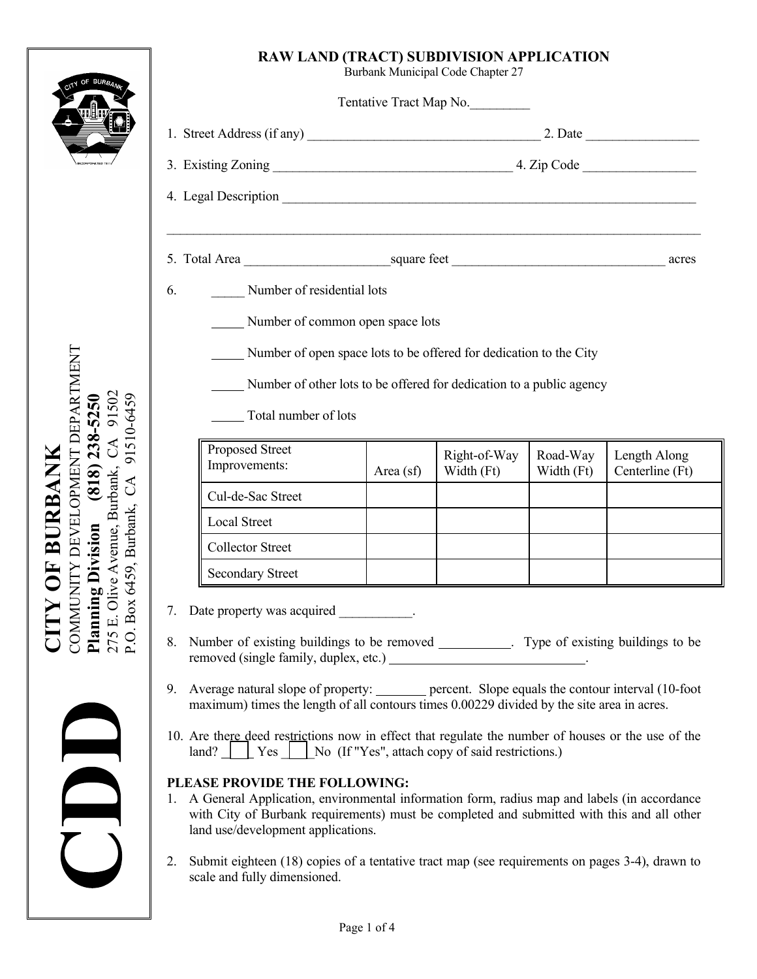## **RAW LAND (TRACT) SUBDIVISION APPLICATION**

Burbank Municipal Code Chapter 27

| ,我们也不会有什么。""我们的人,我们也不会有什么?""我们的人,我们也不会有什么?""我们的人,我们也不会有什么?""我们的人,我们也不会有什么?""我们的人 |                                                                      |                            |                        |                                 |  |
|----------------------------------------------------------------------------------|----------------------------------------------------------------------|----------------------------|------------------------|---------------------------------|--|
| Number of residential lots<br>6.                                                 |                                                                      |                            |                        |                                 |  |
| Number of common open space lots                                                 |                                                                      |                            |                        |                                 |  |
|                                                                                  |                                                                      |                            |                        |                                 |  |
|                                                                                  |                                                                      |                            |                        |                                 |  |
| Number of open space lots to be offered for dedication to the City               |                                                                      |                            |                        |                                 |  |
|                                                                                  | Number of other lots to be offered for dedication to a public agency |                            |                        |                                 |  |
| Total number of lots                                                             |                                                                      |                            |                        |                                 |  |
| Proposed Street<br>Improvements:                                                 | Area $(sf)$                                                          | Right-of-Way<br>Width (Ft) | Road-Way<br>Width (Ft) | Length Along<br>Centerline (Ft) |  |
| Cul-de-Sac Street                                                                |                                                                      |                            |                        |                                 |  |
| <b>Local Street</b>                                                              |                                                                      |                            |                        |                                 |  |
| <b>Collector Street</b>                                                          |                                                                      |                            |                        |                                 |  |

- Number of existing buildings to be removed \_\_\_\_\_\_\_\_\_. Type of existing buildings to be removed (single family, duplex, etc.)
- 9. Average natural slope of property: <u>percent</u>. Slope equals the contour interval (10-foot maximum) times the length of all contours times 0.00229 divided by the site area in acres.
- 10. Are there deed restrictions now in effect that regulate the number of houses or the use of the  $\lceil \text{land?} \rceil$  Yes  $\lceil \text{No (If "Yes", attach copy of said restrictions.)} \rceil$

# **PLEASE PROVIDE THE FOLLOWING:**

- 1. A General Application, environmental information form, radius map and labels (in accordance with City of Burbank requirements) must be completed and submitted with this and all other land use/development applications.
- 2. Submit eighteen (18) copies of a tentative tract map (see requirements on pages 3-4), drawn to scale and fully dimensioned.

**CITY OF BURBANK** COMMUNITY DEVELOPMENT DEPARTMENT COMMUNITY DEVELOPMENT DEPARTMENT 275 E. Olive Avenue, Burbank, CA 91502 **Planning Division (818) 238-5250**  91502 91510-6459 P.O. Box 6459, Burbank, CA 91510-6459  $(818)$  238-5250  $C\Lambda$ **CITY OF BURBANK** 275 E. Olive Avenue, Burbank, P.O. Box 6459, Burbank, CA **Planning Division**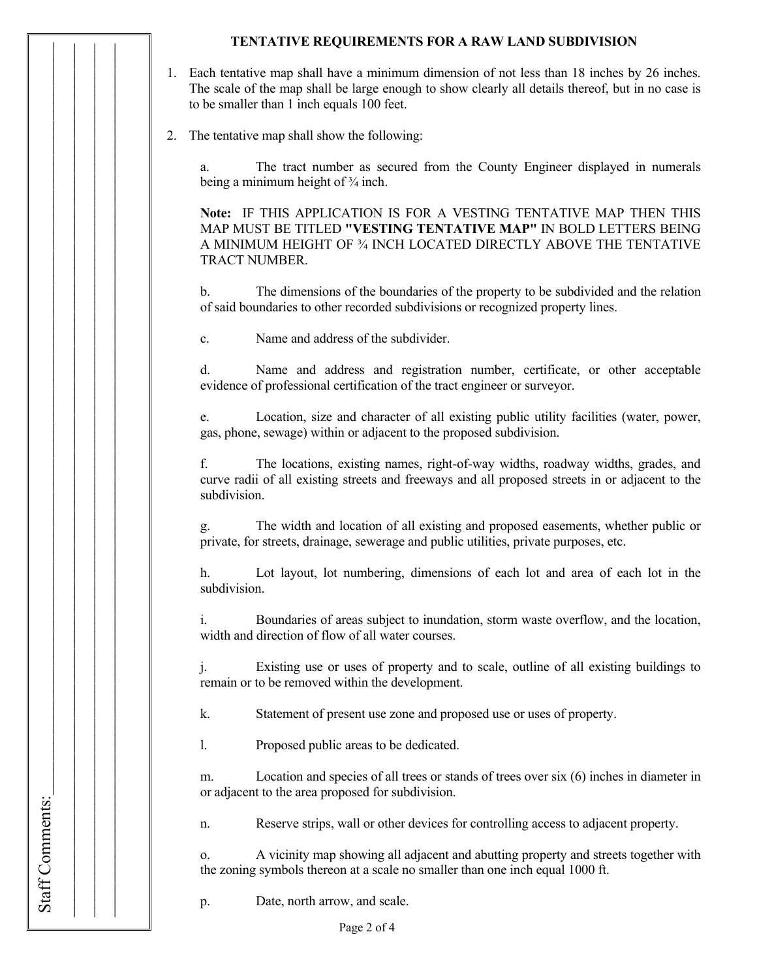### **TENTATIVE REQUIREMENTS FOR A RAW LAND SUBDIVISION**

- 1. Each tentative map shall have a minimum dimension of not less than 18 inches by 26 inches. The scale of the map shall be large enough to show clearly all details thereof, but in no case is to be smaller than 1 inch equals 100 feet.
- 2. The tentative map shall show the following:

a. The tract number as secured from the County Engineer displayed in numerals being a minimum height of  $\frac{3}{4}$  inch.

**Note:** IF THIS APPLICATION IS FOR A VESTING TENTATIVE MAP THEN THIS MAP MUST BE TITLED **"VESTING TENTATIVE MAP"** IN BOLD LETTERS BEING A MINIMUM HEIGHT OF ¾ INCH LOCATED DIRECTLY ABOVE THE TENTATIVE TRACT NUMBER.

b. The dimensions of the boundaries of the property to be subdivided and the relation of said boundaries to other recorded subdivisions or recognized property lines.

c. Name and address of the subdivider.

Staff Comments:

Staff Comments:

 $\Box$  $\Box$  $\Box$ 

d. Name and address and registration number, certificate, or other acceptable evidence of professional certification of the tract engineer or surveyor.

e. Location, size and character of all existing public utility facilities (water, power, gas, phone, sewage) within or adjacent to the proposed subdivision.

f. The locations, existing names, right-of-way widths, roadway widths, grades, and curve radii of all existing streets and freeways and all proposed streets in or adjacent to the subdivision.

g. The width and location of all existing and proposed easements, whether public or private, for streets, drainage, sewerage and public utilities, private purposes, etc.

h. Lot layout, lot numbering, dimensions of each lot and area of each lot in the subdivision.

i. Boundaries of areas subject to inundation, storm waste overflow, and the location, width and direction of flow of all water courses.

j. Existing use or uses of property and to scale, outline of all existing buildings to remain or to be removed within the development.

k. Statement of present use zone and proposed use or uses of property.

l. Proposed public areas to be dedicated.

m. Location and species of all trees or stands of trees over six (6) inches in diameter in or adjacent to the area proposed for subdivision.

n. Reserve strips, wall or other devices for controlling access to adjacent property.

o. A vicinity map showing all adjacent and abutting property and streets together with the zoning symbols thereon at a scale no smaller than one inch equal 1000 ft.

p. Date, north arrow, and scale.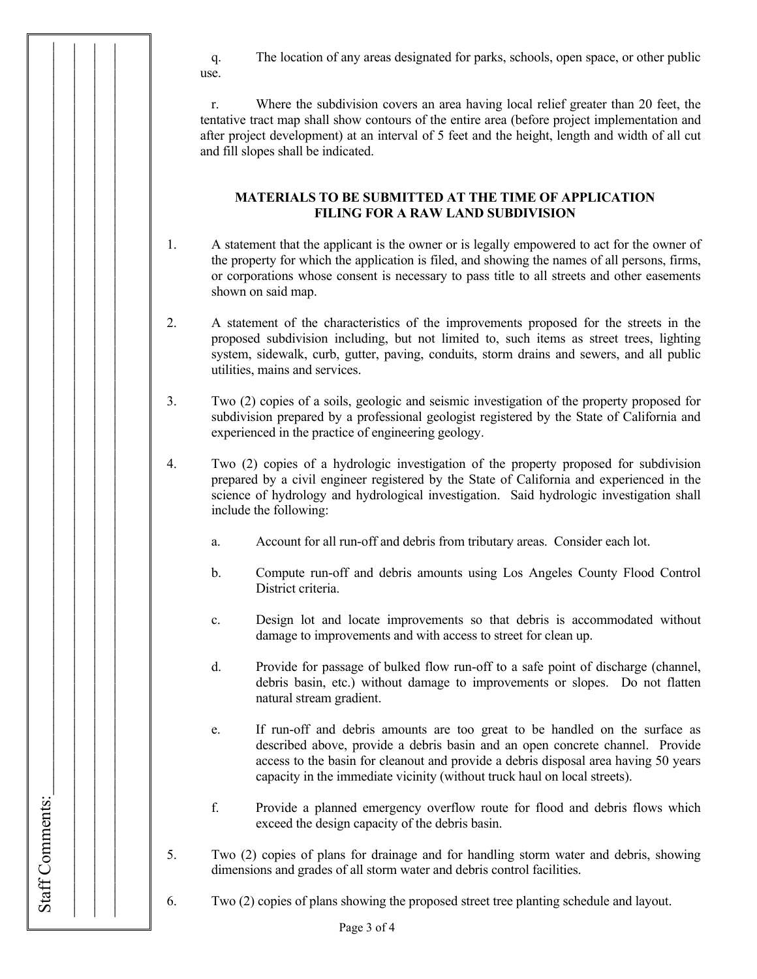q. The location of any areas designated for parks, schools, open space, or other public use.

 r. Where the subdivision covers an area having local relief greater than 20 feet, the tentative tract map shall show contours of the entire area (before project implementation and after project development) at an interval of 5 feet and the height, length and width of all cut and fill slopes shall be indicated.

## **MATERIALS TO BE SUBMITTED AT THE TIME OF APPLICATION FILING FOR A RAW LAND SUBDIVISION**

- 1. A statement that the applicant is the owner or is legally empowered to act for the owner of the property for which the application is filed, and showing the names of all persons, firms, or corporations whose consent is necessary to pass title to all streets and other easements shown on said map.
- 2. A statement of the characteristics of the improvements proposed for the streets in the proposed subdivision including, but not limited to, such items as street trees, lighting system, sidewalk, curb, gutter, paving, conduits, storm drains and sewers, and all public utilities, mains and services.
- 3. Two (2) copies of a soils, geologic and seismic investigation of the property proposed for subdivision prepared by a professional geologist registered by the State of California and experienced in the practice of engineering geology.
- 4. Two (2) copies of a hydrologic investigation of the property proposed for subdivision prepared by a civil engineer registered by the State of California and experienced in the science of hydrology and hydrological investigation. Said hydrologic investigation shall include the following:

Staff Comments:

Staff Comments:

 $\Box$  $\Box$  $\Box$ 

- a. Account for all run-off and debris from tributary areas. Consider each lot.
- b. Compute run-off and debris amounts using Los Angeles County Flood Control District criteria.
- c. Design lot and locate improvements so that debris is accommodated without damage to improvements and with access to street for clean up.
- d. Provide for passage of bulked flow run-off to a safe point of discharge (channel, debris basin, etc.) without damage to improvements or slopes. Do not flatten natural stream gradient.
- e. If run-off and debris amounts are too great to be handled on the surface as described above, provide a debris basin and an open concrete channel. Provide access to the basin for cleanout and provide a debris disposal area having 50 years capacity in the immediate vicinity (without truck haul on local streets).
- f. Provide a planned emergency overflow route for flood and debris flows which exceed the design capacity of the debris basin.
- 5. Two (2) copies of plans for drainage and for handling storm water and debris, showing dimensions and grades of all storm water and debris control facilities.
- 6. Two (2) copies of plans showing the proposed street tree planting schedule and layout.